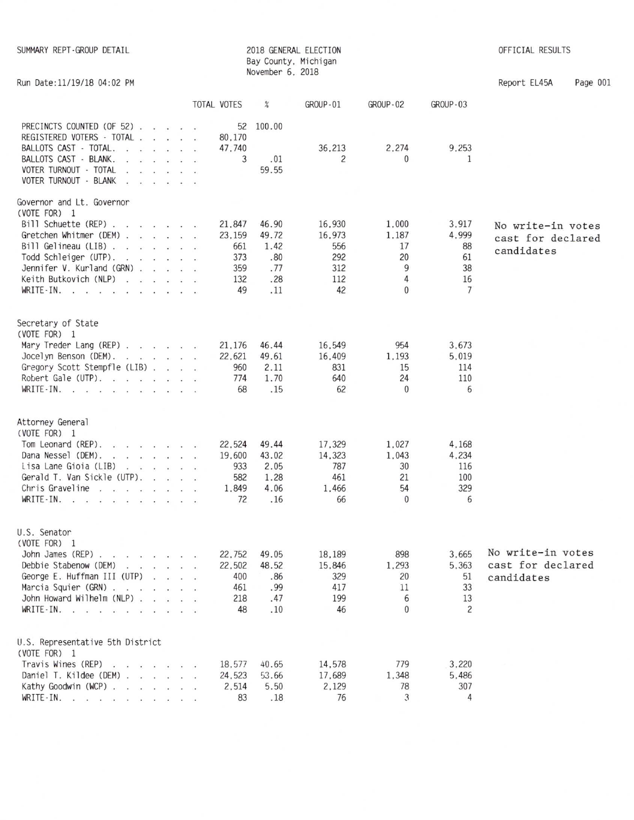| SUMMARY REPT-GROUP DETAIL                                                                                                                                                                                                                                                                                                                                                                                                                                   |                  | November 6, 2018 | 2018 GENERAL ELECTION<br>Bay County, Michigan |                |                | OFFICIAL RESULTS  |          |
|-------------------------------------------------------------------------------------------------------------------------------------------------------------------------------------------------------------------------------------------------------------------------------------------------------------------------------------------------------------------------------------------------------------------------------------------------------------|------------------|------------------|-----------------------------------------------|----------------|----------------|-------------------|----------|
| Run Date: 11/19/18 04:02 PM                                                                                                                                                                                                                                                                                                                                                                                                                                 |                  |                  |                                               |                |                | Report EL45A      | Page 001 |
|                                                                                                                                                                                                                                                                                                                                                                                                                                                             | TOTAL VOTES      | $\%$             | <b>GROUP-01</b>                               | GROUP-02       | GROUP-03       |                   |          |
| PRECINCTS COUNTED (OF 52)<br>REGISTERED VOTERS - TOTAL                                                                                                                                                                                                                                                                                                                                                                                                      | 52<br>80,170     | 100.00           |                                               |                |                |                   |          |
| BALLOTS CAST - TOTAL.<br>$\mathcal{L} = \mathcal{L} = \mathcal{L} = \mathcal{L} = \mathcal{L} = \mathcal{L}$                                                                                                                                                                                                                                                                                                                                                | 47,740           |                  | 36,213                                        | 2,274          | 9,253          |                   |          |
| BALLOTS CAST - BLANK.                                                                                                                                                                                                                                                                                                                                                                                                                                       | 3                | .01              | 2                                             | 0              | 1              |                   |          |
| VOTER TURNOUT - TOTAL<br>$\mathbf{r}$ and $\mathbf{r}$ and $\mathbf{r}$ and $\mathbf{r}$                                                                                                                                                                                                                                                                                                                                                                    |                  | 59.55            |                                               |                |                |                   |          |
| VOTER TURNOUT - BLANK<br>$\mathbf{r}$ and $\mathbf{r}$ and $\mathbf{r}$ and $\mathbf{r}$                                                                                                                                                                                                                                                                                                                                                                    |                  |                  |                                               |                |                |                   |          |
| Governor and Lt. Governor                                                                                                                                                                                                                                                                                                                                                                                                                                   |                  |                  |                                               |                |                |                   |          |
| (VOTE FOR) 1                                                                                                                                                                                                                                                                                                                                                                                                                                                |                  |                  |                                               |                |                |                   |          |
| Bill Schuette (REP)<br>Gretchen Whitmer (DEM)                                                                                                                                                                                                                                                                                                                                                                                                               | 21,847<br>23,159 | 46.90<br>49.72   | 16,930<br>16,973                              | 1,000<br>1.187 | 3.917<br>4,999 | No write-in votes |          |
| Bill Gelineau (LIB) $\ldots$ $\ldots$ $\ldots$                                                                                                                                                                                                                                                                                                                                                                                                              | 661              | 1.42             | 556                                           | 17             | 88             | cast for declared |          |
| Todd Schleiger (UTP).                                                                                                                                                                                                                                                                                                                                                                                                                                       | 373              | .80              | 292                                           | 20             | 61             | candidates        |          |
| Jennifer V. Kurland (GRN)                                                                                                                                                                                                                                                                                                                                                                                                                                   | 359              | . 77             | 312                                           | 9              | 38             |                   |          |
| Keith Butkovich (NLP)                                                                                                                                                                                                                                                                                                                                                                                                                                       | 132              | .28              | 112                                           | 4              | 16             |                   |          |
| WRITE-IN.                                                                                                                                                                                                                                                                                                                                                                                                                                                   | 49               | .11              | 42                                            | $\mathbf{0}$   | $\overline{7}$ |                   |          |
| Secretary of State                                                                                                                                                                                                                                                                                                                                                                                                                                          |                  |                  |                                               |                |                |                   |          |
| (VOTE FOR) 1                                                                                                                                                                                                                                                                                                                                                                                                                                                |                  |                  |                                               |                |                |                   |          |
| Mary Treder Lang (REP)                                                                                                                                                                                                                                                                                                                                                                                                                                      | 21,176           | 46.44            | 16,549                                        | 954            | 3,673          |                   |          |
| Jocelyn Benson (DEM).                                                                                                                                                                                                                                                                                                                                                                                                                                       | 22,621           | 49.61            | 16,409                                        | 1,193          | 5,019          |                   |          |
| Gregory Scott Stempfle (LIB)<br>Robert Gale (UTP).                                                                                                                                                                                                                                                                                                                                                                                                          | 960<br>774       | 2.11<br>1.70     | 831<br>640                                    | 15<br>24       | 114<br>110     |                   |          |
| WRITE-IN.                                                                                                                                                                                                                                                                                                                                                                                                                                                   | 68               | .15              | 62                                            | $\theta$       | 6              |                   |          |
|                                                                                                                                                                                                                                                                                                                                                                                                                                                             |                  |                  |                                               |                |                |                   |          |
| Attorney General                                                                                                                                                                                                                                                                                                                                                                                                                                            |                  |                  |                                               |                |                |                   |          |
| (VOTE FOR) 1                                                                                                                                                                                                                                                                                                                                                                                                                                                |                  |                  |                                               |                |                |                   |          |
| Tom Leonard (REP).<br>$\begin{array}{cccccccccccccc} \mathbf{1} & \mathbf{1} & \mathbf{1} & \mathbf{1} & \mathbf{1} & \mathbf{1} & \mathbf{1} & \mathbf{1} & \mathbf{1} & \mathbf{1} & \mathbf{1} & \mathbf{1} & \mathbf{1} & \mathbf{1} & \mathbf{1} & \mathbf{1} & \mathbf{1} & \mathbf{1} & \mathbf{1} & \mathbf{1} & \mathbf{1} & \mathbf{1} & \mathbf{1} & \mathbf{1} & \mathbf{1} & \mathbf{1} & \mathbf{1} & \mathbf{1} & \mathbf{1} & \mathbf{1} &$ | 22,524           | 49.44            | 17,329                                        | 1,027          | 4,168          |                   |          |
| Dana Nessel (DEM).<br>and the contract of the con-<br>Lisa Lane Gioia (LIB)                                                                                                                                                                                                                                                                                                                                                                                 | 19,600<br>933    | 43.02<br>2.05    | 14,323<br>787                                 | 1,043<br>30    | 4,234<br>116   |                   |          |
| Gerald T. Van Sickle (UTP).                                                                                                                                                                                                                                                                                                                                                                                                                                 | 582              | 1.28             | 461                                           | 21             | 100            |                   |          |
| Chris Graveline<br>$\mathbf{r}$ . The set of the set of the set of the set of the set of the set of the set of the set of the set of the set of the set of the set of the set of the set of the set of the set of the set of the set of the set of t                                                                                                                                                                                                        | 1.849            | 4.06             | 1,466                                         | 54             | 329            |                   |          |
| WRITE-IN.                                                                                                                                                                                                                                                                                                                                                                                                                                                   | 72               | .16              | 66                                            | $\mathbf{0}$   | 6              |                   |          |
| U.S. Senator                                                                                                                                                                                                                                                                                                                                                                                                                                                |                  |                  |                                               |                |                |                   |          |
| (VOTE FOR) 1                                                                                                                                                                                                                                                                                                                                                                                                                                                |                  |                  |                                               |                |                |                   |          |
| John James (REP)                                                                                                                                                                                                                                                                                                                                                                                                                                            | 22,752           | 49.05            | 18,189                                        | 898            | 3,665          | No write-in votes |          |
| Debbie Stabenow (DEM)                                                                                                                                                                                                                                                                                                                                                                                                                                       | 22,502           | 48.52            | 15,846                                        | 1,293          | 5.363          | cast for declared |          |
| George E. Huffman III (UTP)                                                                                                                                                                                                                                                                                                                                                                                                                                 | 400              | .86              | 329                                           | 20             | 51             | candidates        |          |
| Marcia Squier (GRN)                                                                                                                                                                                                                                                                                                                                                                                                                                         | 461              | .99              | 417                                           | 11             | 33             |                   |          |
| John Howard Wilhelm (NLP)                                                                                                                                                                                                                                                                                                                                                                                                                                   | 218              | .47              | 199                                           | 6              | 13             |                   |          |
| WRITE-IN.                                                                                                                                                                                                                                                                                                                                                                                                                                                   | 48               | .10              | 46                                            | $\mathbf{0}$   | $\overline{c}$ |                   |          |
| U.S. Representative 5th District                                                                                                                                                                                                                                                                                                                                                                                                                            |                  |                  |                                               |                |                |                   |          |
| (VOTE FOR) 1                                                                                                                                                                                                                                                                                                                                                                                                                                                |                  |                  |                                               |                |                |                   |          |
| Travis Wines (REP)                                                                                                                                                                                                                                                                                                                                                                                                                                          | 18.577           | 40.65            | 14,578                                        | 779            | 3,220          |                   |          |
| Daniel T. Kildee (DEM)<br>Kathy Goodwin (WCP)                                                                                                                                                                                                                                                                                                                                                                                                               | 24,523<br>2.514  | 53.66<br>5.50    | 17,689<br>2.129                               | 1,348<br>78    | 5.486<br>307   |                   |          |
| WRITE-IN.                                                                                                                                                                                                                                                                                                                                                                                                                                                   | 83               | .18              | 76                                            | 3              | 4              |                   |          |
|                                                                                                                                                                                                                                                                                                                                                                                                                                                             |                  |                  |                                               |                |                |                   |          |
|                                                                                                                                                                                                                                                                                                                                                                                                                                                             |                  |                  |                                               |                |                |                   |          |
|                                                                                                                                                                                                                                                                                                                                                                                                                                                             |                  |                  |                                               |                |                |                   |          |
|                                                                                                                                                                                                                                                                                                                                                                                                                                                             |                  |                  |                                               |                |                |                   |          |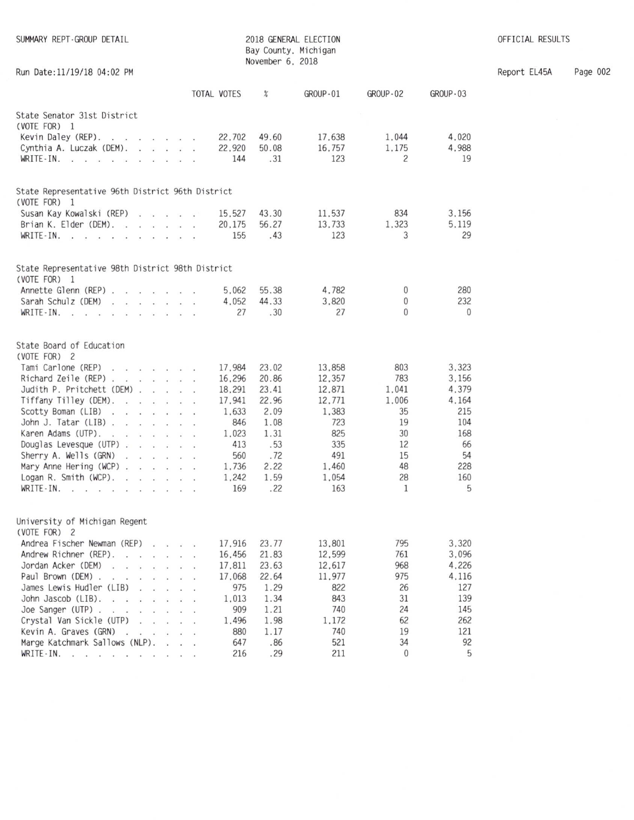| SUMMARY REPT-GROUP DETAIL                                         |              | November 6, 2018 | 2018 GENERAL ELECTION<br>Bay County, Michigan |              |              | OFFICIAL RESULTS |
|-------------------------------------------------------------------|--------------|------------------|-----------------------------------------------|--------------|--------------|------------------|
| Run Date: 11/19/18 04:02 PM                                       |              |                  |                                               |              |              | Report EL45A     |
|                                                                   | TOTAL VOTES  | %                | GROUP-01                                      | GROUP-02     | GROUP-03     |                  |
| State Senator 31st District                                       |              |                  |                                               |              |              |                  |
| (VOTE FOR) 1                                                      |              |                  |                                               |              |              |                  |
| Kevin Daley (REP).                                                | 22,702       | 49.60            | 17.638                                        | 1.044        | 4,020        |                  |
| Cynthia A. Luczak (DEM).                                          | 22,920       | 50.08            | 16.757                                        | 1.175        | 4,988        |                  |
| WRITE-IN. $\cdots$ $\cdots$ $\cdots$                              | 144          | .31              | 123                                           | 2            | 19           |                  |
| State Representative 96th District 96th District                  |              |                  |                                               |              |              |                  |
| (VOTE FOR) 1<br>Susan Kay Kowalski (REP)                          | 15.527       | 43.30            | 11.537                                        | 834          | 3,156        |                  |
| Brian K. Elder (DEM).                                             | 20,175       | 56.27            | 13,733                                        | 1,323        | 5.119        |                  |
| WRITE-IN. $\cdot \cdot \cdot \cdot \cdot \cdot \cdot \cdot \cdot$ | 155          | .43              | 123                                           | 3            | 29           |                  |
|                                                                   |              |                  |                                               |              |              |                  |
| State Representative 98th District 98th District<br>(VOTE FOR) 1  |              |                  |                                               |              |              |                  |
| Annette Glenn (REP)                                               | 5.062        | 55.38            | 4,782                                         | $\mathbf{0}$ | 280          |                  |
| Sarah Schulz (DEM)                                                | 4,052        | 44.33            | 3,820                                         | $\mathbf{0}$ | 232          |                  |
| $WRITE-IN.$ $\ldots$ $\ldots$ $\ldots$                            | 27           | .30              | 27                                            | $\Omega$     | $\mathbf{0}$ |                  |
| State Board of Education<br>(VOTE FOR) 2<br>Tami Carlone (REP)    | 17.984       | 23.02            | 13,858                                        | 803          | 3.323        |                  |
| Richard Zeile (REP)                                               | 16,296       | 20.86            | 12,357                                        | 783          | 3.156        |                  |
| Judith P. Pritchett (DEM)                                         | 18,291       | 23.41            | 12.871                                        | 1,041        | 4,379        |                  |
| Tiffany Tilley (DEM).                                             | 17.941       | 22.96            | 12,771                                        | 1,006        | 4,164        |                  |
| Scotty Boman (LIB)                                                | 1.633        | 2.09             | 1,383                                         | 35           | 215          |                  |
| John J. Tatar (LIB)                                               | 846          | 1.08             | 723                                           | 19           | 104          |                  |
| Karen Adams (UTP).                                                | 1,023        | 1.31             | 825                                           | 30           | 168          |                  |
| Douglas Levesque (UTP)                                            | 413          | .53              | 335                                           | 12           | 66           |                  |
| Sherry A. Wells (GRN)                                             | 560          | .72              | 491                                           | 15           | 54           |                  |
| Mary Anne Hering $(WCP)$ .                                        | 1,736        | 2.22             | 1,460                                         | 48           | 228          |                  |
| Logan R. Smith (WCP).                                             | 1,242        | 1.59             | 1,054                                         | 28           | 160          |                  |
| WRITE-IN.                                                         | 169          | .22              | 163                                           | 1            | 5            |                  |
| University of Michigan Regent                                     |              |                  |                                               |              |              |                  |
| (VOTE FOR) 2                                                      |              |                  |                                               |              |              |                  |
| Andrea Fischer Newman (REP)                                       | 17.916       | 23.77            | 13,801                                        | 795          | 3,320        |                  |
| Andrew Richner (REP).<br>the contract of the contract of          | 16.456       | 21.83            | 12.599                                        | 761<br>968   | 3.096        |                  |
| Jordan Acker (DEM)<br>.                                           | 17.811       | 23.63            | 12,617                                        | 975          | 4,226        |                  |
| Paul Brown (DEM).<br>James Lewis Hudler (LIB)                     | 17,068       | 22.64            | 11.977                                        |              | 4,116        |                  |
| and a state of the<br>John Jascob (LIB).                          | 975          | 1.29             | 822<br>843                                    | 26<br>31     | 127<br>139   |                  |
| Joe Sanger (UTP) $\cdot \cdot \cdot \cdot \cdot \cdot$            | 1,013<br>909 | 1.34<br>1.21     | 740                                           | 24           | 145          |                  |
| Crystal Van Sickle (UTP)                                          | 1.496        | 1.98             | 1.172                                         | 62           | 262          |                  |
| Kevin A. Graves (GRN)                                             | 880          | 1.17             | 740                                           | 19           | 121          |                  |
| Marge Katchmark Sallows (NLP).<br>$\sim$ $\sim$ $\sim$            | 647          | .86              | 521                                           | 34           | 92           |                  |
| WRITE-IN.<br>the contract of the contract of the co-              | 216          | .29              | 211                                           | $\mathbf{0}$ | 5            |                  |
|                                                                   |              |                  |                                               |              |              |                  |

Page 002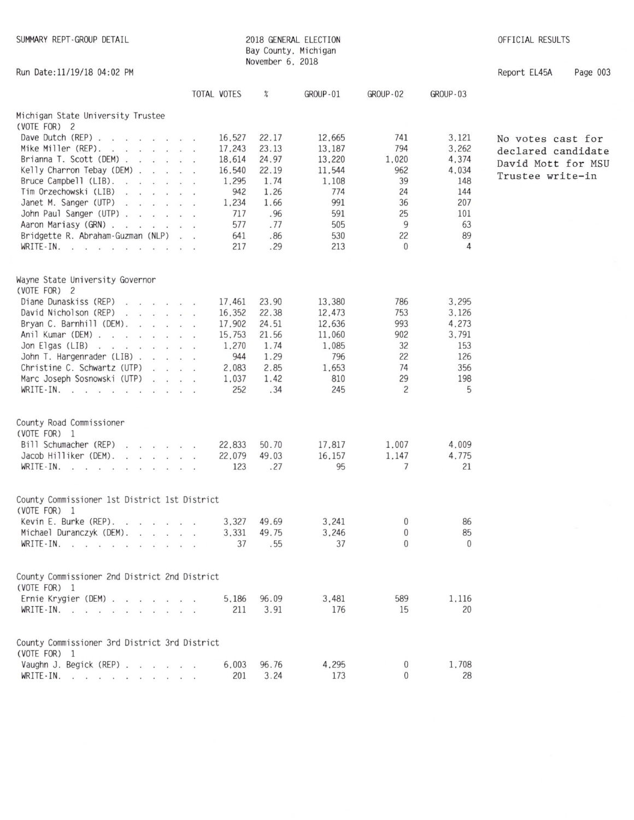| SUMMARY REPT-GROUP DETAIL                                     |             |        | November 6, 2018 | 2018 GENERAL ELECTION<br>Bay County, Michigan |                |              | OFFICIAL RESULTS   |          |  |
|---------------------------------------------------------------|-------------|--------|------------------|-----------------------------------------------|----------------|--------------|--------------------|----------|--|
| Run Date: 11/19/18 04:02 PM                                   |             |        |                  |                                               |                |              | Report EL45A       | Page 003 |  |
|                                                               | TOTAL VOTES |        | $\%$             | GROUP-01                                      | GROUP-02       | GROUP-03     |                    |          |  |
| Michigan State University Trustee<br>(VOTE FOR) 2             |             |        |                  |                                               |                |              |                    |          |  |
| Dave Dutch (REP) $\cdots$                                     |             | 16,527 | 22.17            | 12,665                                        | 741            | 3,121        | No votes cast for  |          |  |
| Mike Miller (REP).                                            |             | 17,243 | 23.13            | 13,187                                        | 794            | 3,262        | declared candidate |          |  |
| Brianna T. Scott (DEM)                                        |             | 18,614 | 24.97            | 13,220                                        | 1,020          | 4,374        | David Mott for MSU |          |  |
| Kelly Charron Tebay (DEM)                                     |             | 16,540 | 22.19            | 11,544                                        | 962            | 4.034        | Trustee write-in   |          |  |
| Bruce Campbell (LIB). $\ldots$                                |             | 1,295  | 1.74             | 1,108                                         | 39             | 148          |                    |          |  |
| Tim Orzechowski (LIB)                                         |             | 942    | 1.26             | 774                                           | 24             | 144          |                    |          |  |
| Janet M. Sanger (UTP)                                         |             | 1,234  | 1.66             | 991                                           | 36             | 207          |                    |          |  |
| John Paul Sanger (UTP)                                        |             | 717    | .96              | 591                                           | 25             | 101          |                    |          |  |
| Aaron Mariasy (GRN)                                           |             | 577    | .77              | 505                                           | 9              | 63           |                    |          |  |
| Bridgette R. Abraham-Guzman (NLP)                             |             | 641    | .86              | 530                                           | 22             | 89           |                    |          |  |
| WRITE-IN.                                                     |             | 217    | .29              | 213                                           | $\mathbf{0}$   | 4            |                    |          |  |
| Wayne State University Governor<br>(VOTE FOR) 2               |             |        |                  |                                               |                |              |                    |          |  |
| Diane Dunaskiss (REP)                                         |             | 17.461 | 23.90            | 13,380                                        | 786            | 3,295        |                    |          |  |
| David Nicholson (REP)                                         |             | 16,352 | 22.38            | 12,473                                        | 753            | 3,126        |                    |          |  |
| Bryan C. Barnhill (DEM). $\ldots$                             |             | 17,902 | 24.51            | 12,636                                        | 993            | 4,273        |                    |          |  |
| Anil Kumar (DEM)                                              |             | 15,753 | 21.56            | 11,060                                        | 902            | 3,791        |                    |          |  |
| Jon Elgas (LIB) $\ldots$ $\ldots$ $\ldots$                    |             | 1,270  | 1.74             | 1,085                                         | 32             | 153          |                    |          |  |
| John T. Hargenrader (LIB)                                     |             | 944    | 1.29             | 796                                           | 22             | 126          |                    |          |  |
| Christine C. Schwartz (UTP)                                   |             | 2,083  | 2.85             | 1,653                                         | 74             | 356          |                    |          |  |
| Marc Joseph Sosnowski (UTP)                                   |             | 1,037  | 1.42             | 810                                           | 29             | 198          |                    |          |  |
| WRITE-IN.                                                     |             | 252    | .34              | 245                                           | $\overline{c}$ | 5            |                    |          |  |
| County Road Commissioner                                      |             |        |                  |                                               |                |              |                    |          |  |
| (VOTE FOR) 1                                                  |             |        |                  |                                               |                |              |                    |          |  |
| Bill Schumacher (REP)                                         |             | 22,833 | 50.70            | 17,817                                        | 1,007          | 4,009        |                    |          |  |
| Jacob Hilliker (DEM).<br>the contract of the con-             |             | 22,079 | 49.03            | 16.157                                        | 1.147          | 4,775        |                    |          |  |
| WRITE-IN.                                                     |             | 123    | .27              | 95                                            | 7              | 21           |                    |          |  |
|                                                               |             |        |                  |                                               |                |              |                    |          |  |
| County Commissioner 1st District 1st District<br>(VOTE FOR) 1 |             |        |                  |                                               |                |              |                    |          |  |
| Kevin E. Burke (REP).                                         |             | 3,327  | 49.69            | 3.241                                         | 0              | 86           |                    |          |  |
| Michael Duranczyk (DEM).                                      |             | 3,331  | 49.75            | 3,246                                         | 0              | 85           |                    |          |  |
| WRITE-IN.                                                     |             | 37     | .55              | 37                                            | $\mathbf{0}$   | $\mathbf{0}$ |                    |          |  |
| County Commissioner 2nd District 2nd District                 |             |        |                  |                                               |                |              |                    |          |  |
| (VOTE FOR) 1                                                  |             |        |                  |                                               |                |              |                    |          |  |
| Ernie Krygier (DEM) $\ldots$ $\ldots$ $\ldots$                |             | 5.186  | 96.09            | 3,481                                         | 589            | 1,116        |                    |          |  |
| WRITE - IN.                                                   |             | 211    | 3.91             | 176                                           | 15             | 20           |                    |          |  |
| County Commissioner 3rd District 3rd District                 |             |        |                  |                                               |                |              |                    |          |  |
| (VOTE FOR) 1                                                  |             |        |                  |                                               |                |              |                    |          |  |
| Vaughn J. Begick (REP)                                        |             | 6.003  | 96.76            | 4,295                                         | 0              | 1,708        |                    |          |  |
| WRITE-IN. $\cdots$ $\cdots$ $\cdots$                          |             | 201    | 3.24             | 173                                           | 0              | 28           |                    |          |  |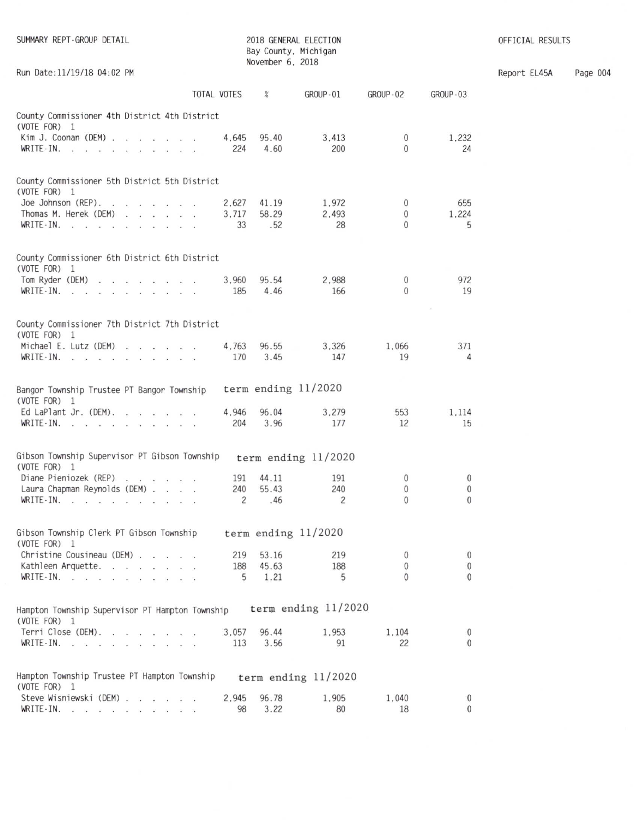| SUMMARY REPT-GROUP DETAIL                                                                 |                      |                       |                       |                               |                             |  |
|-------------------------------------------------------------------------------------------|----------------------|-----------------------|-----------------------|-------------------------------|-----------------------------|--|
| Run Date: 11/19/18 04:02 PM                                                               |                      |                       |                       |                               |                             |  |
|                                                                                           | TOTAL VOTES          | %                     | GROUP-01              | GROUP-02                      | GROUP-03                    |  |
| County Commissioner 4th District 4th District<br>(VOTE FOR) 1                             |                      |                       |                       |                               |                             |  |
| Kim J. Coonan (DEM)<br>WRITE-IN.                                                          | 4.645<br>224         | 95.40<br>4.60         | 3,413<br>200          | $\overline{0}$<br>$\Omega$    | 1,232<br>24                 |  |
| County Commissioner 5th District 5th District<br>$(VOTE FOR)$ 1                           |                      |                       |                       |                               |                             |  |
| Joe Johnson (REP). $\cdot \cdot \cdot \cdot \cdot$<br>Thomas M. Herek (DEM)<br>WRITE-IN.  | 2.627<br>3.717<br>33 | 41.19<br>58.29<br>.52 | 1,972<br>2.493<br>28  | $\mathbf{0}$<br>0<br>$\Omega$ | 655<br>1,224<br>5           |  |
| County Commissioner 6th District 6th District<br>(VOTE FOR) 1                             |                      |                       |                       |                               |                             |  |
| Tom Ryder (DEM)<br>$WRITE-IN.$ $\ldots$ $\ldots$ $\ldots$ $\ldots$                        | 3,960<br>185         | 95.54<br>4.46         | 2,988<br>166          | 0<br>$\Omega$                 | 972<br>19                   |  |
| County Commissioner 7th District 7th District<br>(VOTE FOR) 1                             |                      |                       |                       |                               |                             |  |
| Michael E. Lutz (DEM)<br>WRITE-IN.                                                        | 4.763<br>170         | 96.55<br>3.45         | 3.326<br>147          | 1.066<br>19                   | 371<br>4                    |  |
| Bangor Township Trustee PT Bangor Township<br>(VOTE FOR) 1                                |                      | term ending $11/2020$ |                       |                               |                             |  |
| Ed LaPlant Jr. (DEM). $\cdot \cdot \cdot \cdot$<br>WRITE-IN.                              | 4.946<br>204         | 96.04<br>3.96         | 3.279<br>177          | 553<br>12                     | 1.114<br>15                 |  |
| Gibson Township Supervisor PT Gibson Township<br>(VOTE FOR) 1                             |                      |                       | term ending $11/2020$ |                               |                             |  |
| Diane Pieniozek (REP)                                                                     | 191                  | 44.11                 | 191                   | $\mathbf{0}$                  | 0                           |  |
| Laura Chapman Reynolds (DEM)<br>WRITE-IN.<br>the company of the company of the company of | 240<br>2             | 55.43<br>.46          | 240<br>$\overline{2}$ | 0<br>$\mathbf 0$              | $\mathbf{0}$<br>$\mathbf 0$ |  |
| Gibson Township Clerk PT Gibson Township<br>(VOTE FOR) 1                                  |                      | term ending $11/2020$ |                       |                               |                             |  |
| Christine Cousineau (DEM)                                                                 | 219                  | 53.16                 | 219                   | $\mathbf{0}$                  | $\bf{0}$                    |  |
| Kathleen Arquette.<br>WRITE-IN.                                                           | 188<br>5             | 45.63<br>1.21         | 188<br>5              | $\mathbf{0}$<br>$\Omega$      | 0<br>$\theta$               |  |
|                                                                                           |                      |                       |                       |                               |                             |  |
| Hampton Township Supervisor PT Hampton Township<br>(VOTE FOR) 1                           |                      |                       | term ending $11/2020$ |                               |                             |  |
| Terri Close (DEM).<br>WRITE-IN. $\cdots$ $\cdots$                                         | 3,057<br>113         | 96.44<br>3.56         | 1.953<br>91           | 1.104<br>22                   | $\mathbf{0}$<br>$\theta$    |  |
| Hampton Township Trustee PT Hampton Township<br>(VOTE FOR) 1                              |                      |                       | term ending $11/2020$ |                               |                             |  |
| Steve Wisniewski (DEM)<br>WRITE-IN.                                                       | 2,945<br>98          | 96.78<br>3.22         | 1,905<br>80           | 1,040<br>18                   | 0<br>$\mathbf{0}$           |  |

OFFICIAL RESULTS

Report EL45A Page 004